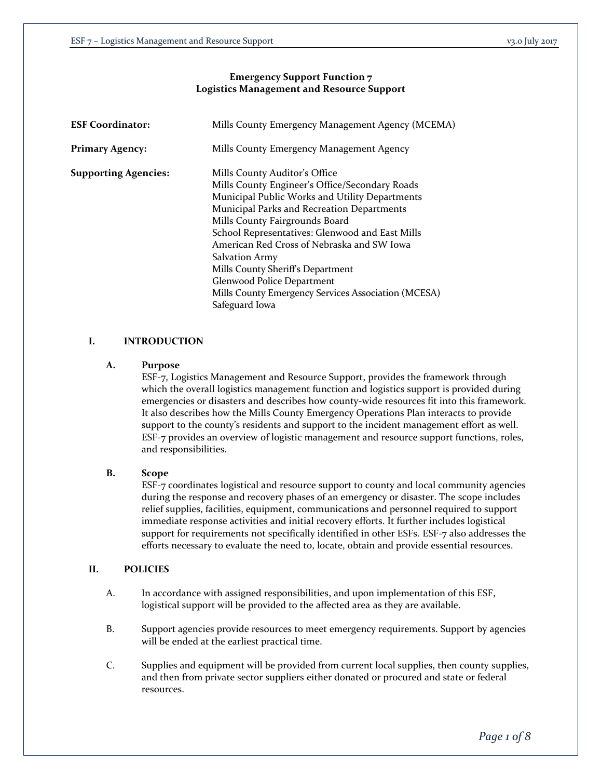# **Emergency Support Function 7 Logistics Management and Resource Support**

| <b>ESF Coordinator:</b>     | Mills County Emergency Management Agency (MCEMA)                                                                                                                                                                                                                                                                                                                                                                                                                                        |
|-----------------------------|-----------------------------------------------------------------------------------------------------------------------------------------------------------------------------------------------------------------------------------------------------------------------------------------------------------------------------------------------------------------------------------------------------------------------------------------------------------------------------------------|
| <b>Primary Agency:</b>      | Mills County Emergency Management Agency                                                                                                                                                                                                                                                                                                                                                                                                                                                |
| <b>Supporting Agencies:</b> | Mills County Auditor's Office<br>Mills County Engineer's Office/Secondary Roads<br>Municipal Public Works and Utility Departments<br>Municipal Parks and Recreation Departments<br>Mills County Fairgrounds Board<br>School Representatives: Glenwood and East Mills<br>American Red Cross of Nebraska and SW Iowa<br><b>Salvation Army</b><br>Mills County Sheriff's Department<br>Glenwood Police Department<br>Mills County Emergency Services Association (MCESA)<br>Safeguard Iowa |

# **I. INTRODUCTION**

## **A. Purpose**

ESF-7, Logistics Management and Resource Support, provides the framework through which the overall logistics management function and logistics support is provided during emergencies or disasters and describes how county-wide resources fit into this framework. It also describes how the Mills County Emergency Operations Plan interacts to provide support to the county's residents and support to the incident management effort as well. ESF-7 provides an overview of logistic management and resource support functions, roles, and responsibilities.

## **B. Scope**

ESF-7 coordinates logistical and resource support to county and local community agencies during the response and recovery phases of an emergency or disaster. The scope includes relief supplies, facilities, equipment, communications and personnel required to support immediate response activities and initial recovery efforts. It further includes logistical support for requirements not specifically identified in other ESFs. ESF-7 also addresses the efforts necessary to evaluate the need to, locate, obtain and provide essential resources.

## **II. POLICIES**

- A. In accordance with assigned responsibilities, and upon implementation of this ESF, logistical support will be provided to the affected area as they are available.
- B. Support agencies provide resources to meet emergency requirements. Support by agencies will be ended at the earliest practical time.
- C. Supplies and equipment will be provided from current local supplies, then county supplies, and then from private sector suppliers either donated or procured and state or federal resources.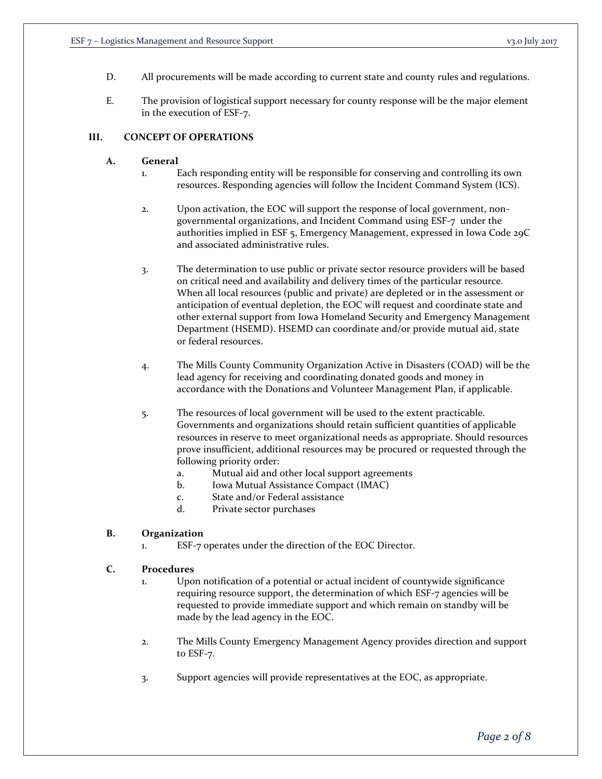- D. All procurements will be made according to current state and county rules and regulations.
- E. The provision of logistical support necessary for county response will be the major element in the execution of ESF-7.

# **III. CONCEPT OF OPERATIONS**

### **A. General**

- 1. Each responding entity will be responsible for conserving and controlling its own resources. Responding agencies will follow the Incident Command System (ICS).
- 2. Upon activation, the EOC will support the response of local government, nongovernmental organizations, and Incident Command using ESF-7 under the authorities implied in ESF 5, Emergency Management, expressed in Iowa Code 29C and associated administrative rules.
- 3. The determination to use public or private sector resource providers will be based on critical need and availability and delivery times of the particular resource. When all local resources (public and private) are depleted or in the assessment or anticipation of eventual depletion, the EOC will request and coordinate state and other external support from Iowa Homeland Security and Emergency Management Department (HSEMD). HSEMD can coordinate and/or provide mutual aid, state or federal resources.
- 4. The Mills County Community Organization Active in Disasters (COAD) will be the lead agency for receiving and coordinating donated goods and money in accordance with the Donations and Volunteer Management Plan, if applicable.
- 5. The resources of local government will be used to the extent practicable. Governments and organizations should retain sufficient quantities of applicable resources in reserve to meet organizational needs as appropriate. Should resources prove insufficient, additional resources may be procured or requested through the following priority order:
	- a. Mutual aid and other local support agreements
	- b. Iowa Mutual Assistance Compact (IMAC)
	- c. State and/or Federal assistance
	- d. Private sector purchases

## **B. Organization**

1. ESF-7 operates under the direction of the EOC Director.

### **C. Procedures**

- 1. Upon notification of a potential or actual incident of countywide significance requiring resource support, the determination of which ESF-7 agencies will be requested to provide immediate support and which remain on standby will be made by the lead agency in the EOC.
- 2. The Mills County Emergency Management Agency provides direction and support to ESF-7.
- 3. Support agencies will provide representatives at the EOC, as appropriate.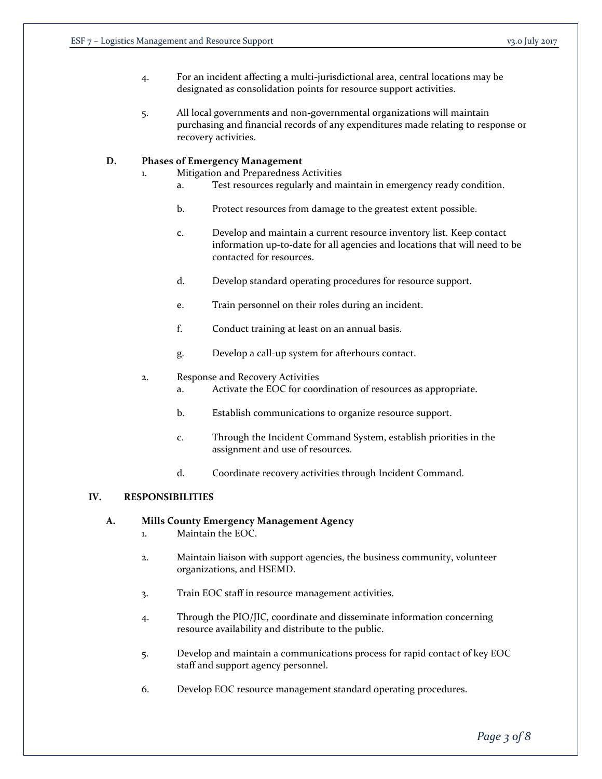- 4. For an incident affecting a multi-jurisdictional area, central locations may be designated as consolidation points for resource support activities.
- 5. All local governments and non-governmental organizations will maintain purchasing and financial records of any expenditures made relating to response or recovery activities.

## **D. Phases of Emergency Management**

- 1. Mitigation and Preparedness Activities
	- a. Test resources regularly and maintain in emergency ready condition.
	- b. Protect resources from damage to the greatest extent possible.
	- c. Develop and maintain a current resource inventory list. Keep contact information up-to-date for all agencies and locations that will need to be contacted for resources.
	- d. Develop standard operating procedures for resource support.
	- e. Train personnel on their roles during an incident.
	- f. Conduct training at least on an annual basis.
	- g. Develop a call-up system for afterhours contact.

### 2. Response and Recovery Activities

- a. Activate the EOC for coordination of resources as appropriate.
- b. Establish communications to organize resource support.
- c. Through the Incident Command System, establish priorities in the assignment and use of resources.
- d. Coordinate recovery activities through Incident Command.

## **IV. RESPONSIBILITIES**

## **A. Mills County Emergency Management Agency**

- 1. Maintain the EOC.
- 2. Maintain liaison with support agencies, the business community, volunteer organizations, and HSEMD.
- 3. Train EOC staff in resource management activities.
- 4. Through the PIO/JIC, coordinate and disseminate information concerning resource availability and distribute to the public.
- 5. Develop and maintain a communications process for rapid contact of key EOC staff and support agency personnel.
- 6. Develop EOC resource management standard operating procedures.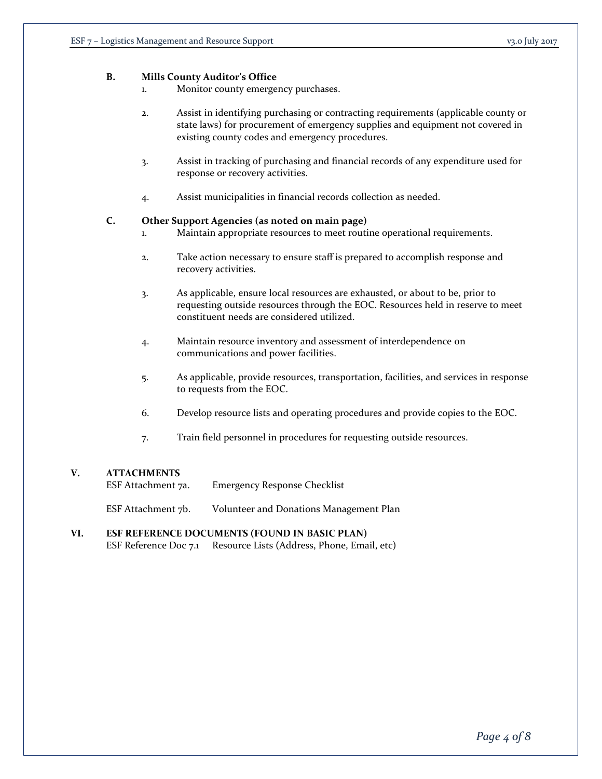## **B. Mills County Auditor's Office**

- 1. Monitor county emergency purchases.
- 2. Assist in identifying purchasing or contracting requirements (applicable county or state laws) for procurement of emergency supplies and equipment not covered in existing county codes and emergency procedures.
- 3. Assist in tracking of purchasing and financial records of any expenditure used for response or recovery activities.
- 4. Assist municipalities in financial records collection as needed.

### **C. Other Support Agencies (as noted on main page)**

- 1. Maintain appropriate resources to meet routine operational requirements.
- 2. Take action necessary to ensure staff is prepared to accomplish response and recovery activities.
- 3. As applicable, ensure local resources are exhausted, or about to be, prior to requesting outside resources through the EOC. Resources held in reserve to meet constituent needs are considered utilized.
- 4. Maintain resource inventory and assessment of interdependence on communications and power facilities.
- 5. As applicable, provide resources, transportation, facilities, and services in response to requests from the EOC.
- 6. Develop resource lists and operating procedures and provide copies to the EOC.
- 7. Train field personnel in procedures for requesting outside resources.

## **V. ATTACHMENTS**

ESF Attachment 7a. Emergency Response Checklist

ESF Attachment 7b. Volunteer and Donations Management Plan

### **VI. ESF REFERENCE DOCUMENTS (FOUND IN BASIC PLAN)** ESF Reference Doc 7.1 Resource Lists (Address, Phone, Email, etc)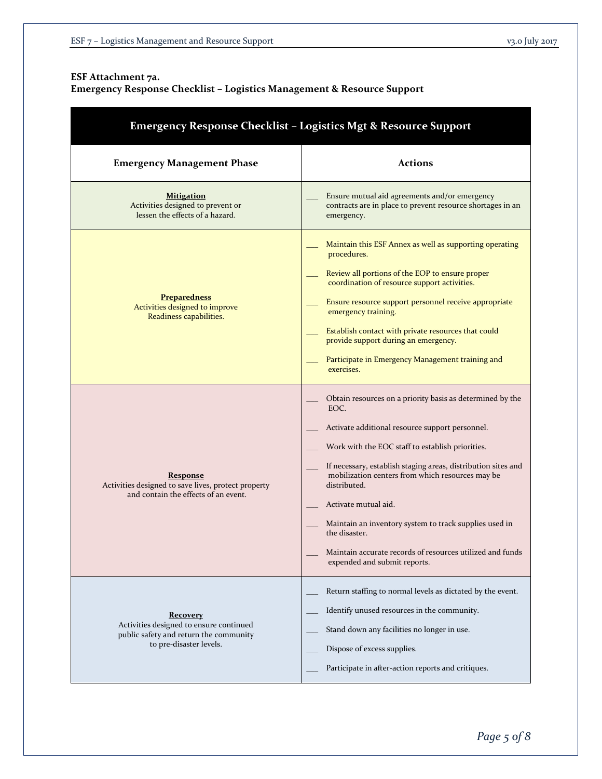# **ESF Attachment 7a.**

# **Emergency Response Checklist – Logistics Management & Resource Support**

| <b>Emergency Response Checklist - Logistics Mgt &amp; Resource Support</b>                                                      |                                                                                                                                                                                                                                                                                                                                                                                                                                                                                                               |  |
|---------------------------------------------------------------------------------------------------------------------------------|---------------------------------------------------------------------------------------------------------------------------------------------------------------------------------------------------------------------------------------------------------------------------------------------------------------------------------------------------------------------------------------------------------------------------------------------------------------------------------------------------------------|--|
| <b>Emergency Management Phase</b>                                                                                               | <b>Actions</b>                                                                                                                                                                                                                                                                                                                                                                                                                                                                                                |  |
| <b>Mitigation</b><br>Activities designed to prevent or<br>lessen the effects of a hazard.                                       | Ensure mutual aid agreements and/or emergency<br>contracts are in place to prevent resource shortages in an<br>emergency.                                                                                                                                                                                                                                                                                                                                                                                     |  |
| <b>Preparedness</b><br>Activities designed to improve<br>Readiness capabilities.                                                | Maintain this ESF Annex as well as supporting operating<br>procedures.<br>Review all portions of the EOP to ensure proper<br>coordination of resource support activities.<br>Ensure resource support personnel receive appropriate<br>emergency training.<br>Establish contact with private resources that could<br>provide support during an emergency.<br>Participate in Emergency Management training and<br>exercises.                                                                                    |  |
| <b>Response</b><br>Activities designed to save lives, protect property<br>and contain the effects of an event.                  | Obtain resources on a priority basis as determined by the<br>EOC.<br>Activate additional resource support personnel.<br>Work with the EOC staff to establish priorities.<br>If necessary, establish staging areas, distribution sites and<br>mobilization centers from which resources may be<br>distributed.<br>Activate mutual aid.<br>Maintain an inventory system to track supplies used in<br>the disaster.<br>Maintain accurate records of resources utilized and funds<br>expended and submit reports. |  |
| <b>Recovery</b><br>Activities designed to ensure continued<br>public safety and return the community<br>to pre-disaster levels. | Return staffing to normal levels as dictated by the event.<br>Identify unused resources in the community.<br>Stand down any facilities no longer in use.<br>Dispose of excess supplies.<br>Participate in after-action reports and critiques.                                                                                                                                                                                                                                                                 |  |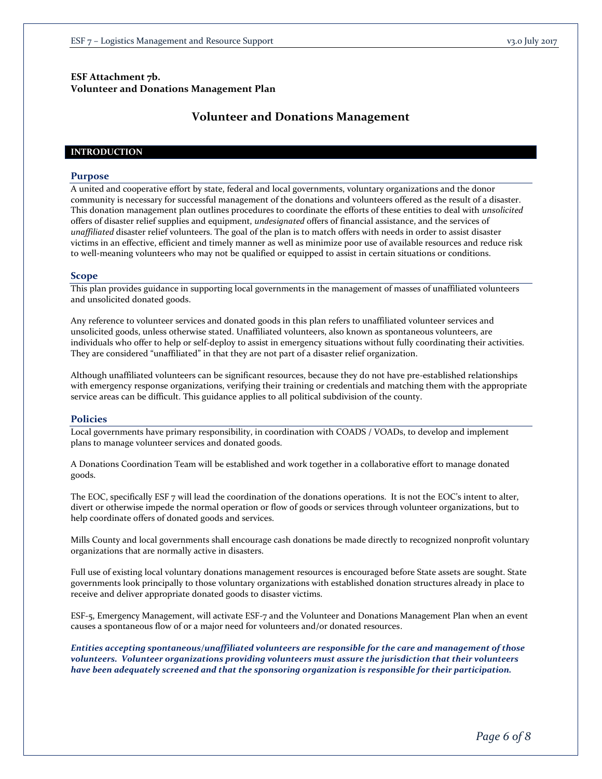# **ESF Attachment 7b. Volunteer and Donations Management Plan**

# **Volunteer and Donations Management**

### **INTRODUCTION**

### **Purpose**

A united and cooperative effort by state, federal and local governments, voluntary organizations and the donor community is necessary for successful management of the donations and volunteers offered as the result of a disaster. This donation management plan outlines procedures to coordinate the efforts of these entities to deal with *unsolicited*  offers of disaster relief supplies and equipment, *undesignated* offers of financial assistance, and the services of *unaffiliated* disaster relief volunteers. The goal of the plan is to match offers with needs in order to assist disaster victims in an effective, efficient and timely manner as well as minimize poor use of available resources and reduce risk to well-meaning volunteers who may not be qualified or equipped to assist in certain situations or conditions.

#### **Scope**

This plan provides guidance in supporting local governments in the management of masses of unaffiliated volunteers and unsolicited donated goods.

Any reference to volunteer services and donated goods in this plan refers to unaffiliated volunteer services and unsolicited goods, unless otherwise stated. Unaffiliated volunteers, also known as spontaneous volunteers, are individuals who offer to help or self-deploy to assist in emergency situations without fully coordinating their activities. They are considered "unaffiliated" in that they are not part of a disaster relief organization.

Although unaffiliated volunteers can be significant resources, because they do not have pre-established relationships with emergency response organizations, verifying their training or credentials and matching them with the appropriate service areas can be difficult. This guidance applies to all political subdivision of the county.

### **Policies**

Local governments have primary responsibility, in coordination with COADS / VOADs, to develop and implement plans to manage volunteer services and donated goods.

A Donations Coordination Team will be established and work together in a collaborative effort to manage donated goods.

The EOC, specifically ESF 7 will lead the coordination of the donations operations. It is not the EOC's intent to alter, divert or otherwise impede the normal operation or flow of goods or services through volunteer organizations, but to help coordinate offers of donated goods and services.

Mills County and local governments shall encourage cash donations be made directly to recognized nonprofit voluntary organizations that are normally active in disasters.

Full use of existing local voluntary donations management resources is encouraged before State assets are sought. State governments look principally to those voluntary organizations with established donation structures already in place to receive and deliver appropriate donated goods to disaster victims.

ESF-5, Emergency Management, will activate ESF-7 and the Volunteer and Donations Management Plan when an event causes a spontaneous flow of or a major need for volunteers and/or donated resources.

*Entities accepting spontaneous/unaffiliated volunteers are responsible for the care and management of those volunteers. Volunteer organizations providing volunteers must assure the jurisdiction that their volunteers have been adequately screened and that the sponsoring organization is responsible for their participation.*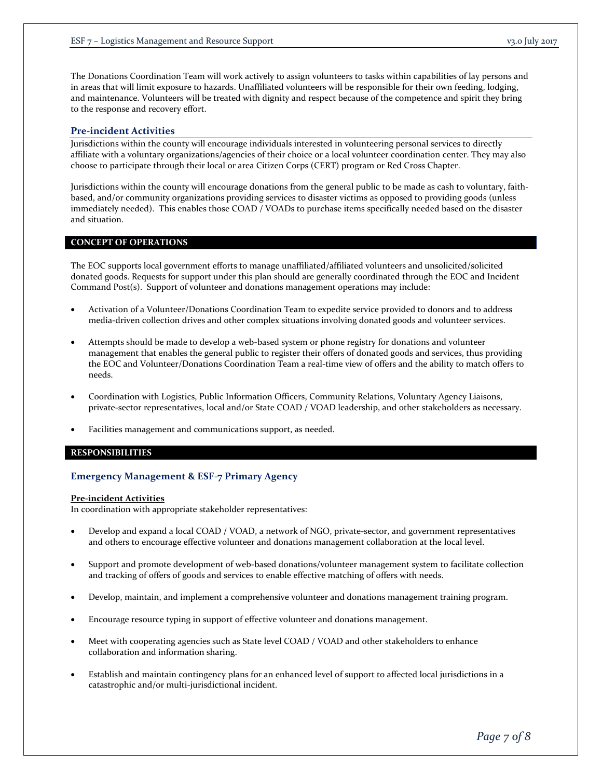The Donations Coordination Team will work actively to assign volunteers to tasks within capabilities of lay persons and in areas that will limit exposure to hazards. Unaffiliated volunteers will be responsible for their own feeding, lodging, and maintenance. Volunteers will be treated with dignity and respect because of the competence and spirit they bring to the response and recovery effort.

### **Pre-incident Activities**

Jurisdictions within the county will encourage individuals interested in volunteering personal services to directly affiliate with a voluntary organizations/agencies of their choice or a local volunteer coordination center. They may also choose to participate through their local or area Citizen Corps (CERT) program or Red Cross Chapter.

Jurisdictions within the county will encourage donations from the general public to be made as cash to voluntary, faithbased, and/or community organizations providing services to disaster victims as opposed to providing goods (unless immediately needed). This enables those COAD / VOADs to purchase items specifically needed based on the disaster and situation.

### **CONCEPT OF OPERATIONS**

The EOC supports local government efforts to manage unaffiliated/affiliated volunteers and unsolicited/solicited donated goods. Requests for support under this plan should are generally coordinated through the EOC and Incident Command Post(s). Support of volunteer and donations management operations may include:

- Activation of a Volunteer/Donations Coordination Team to expedite service provided to donors and to address media-driven collection drives and other complex situations involving donated goods and volunteer services.
- Attempts should be made to develop a web-based system or phone registry for donations and volunteer management that enables the general public to register their offers of donated goods and services, thus providing the EOC and Volunteer/Donations Coordination Team a real-time view of offers and the ability to match offers to needs.
- Coordination with Logistics, Public Information Officers, Community Relations, Voluntary Agency Liaisons, private-sector representatives, local and/or State COAD / VOAD leadership, and other stakeholders as necessary.
- Facilities management and communications support, as needed.

### **RESPONSIBILITIES**

## **Emergency Management & ESF-7 Primary Agency**

#### **Pre-incident Activities**

In coordination with appropriate stakeholder representatives:

- Develop and expand a local COAD / VOAD, a network of NGO, private-sector, and government representatives and others to encourage effective volunteer and donations management collaboration at the local level.
- Support and promote development of web-based donations/volunteer management system to facilitate collection and tracking of offers of goods and services to enable effective matching of offers with needs.
- Develop, maintain, and implement a comprehensive volunteer and donations management training program.
- Encourage resource typing in support of effective volunteer and donations management.
- Meet with cooperating agencies such as State level COAD / VOAD and other stakeholders to enhance collaboration and information sharing.
- Establish and maintain contingency plans for an enhanced level of support to affected local jurisdictions in a catastrophic and/or multi-jurisdictional incident.